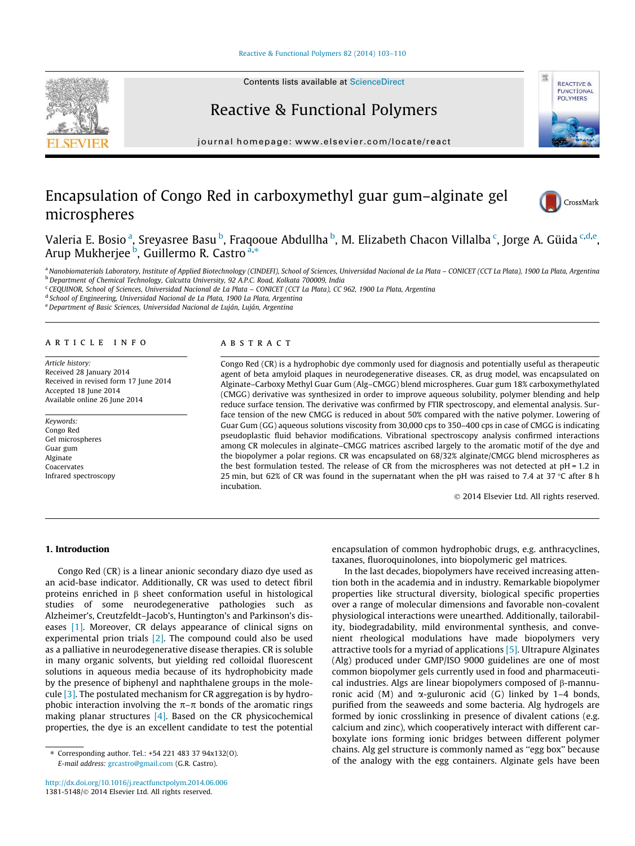## [Reactive & Functional Polymers 82 \(2014\) 103–110](http://dx.doi.org/10.1016/j.reactfunctpolym.2014.06.006)



Contents lists available at [ScienceDirect](http://www.sciencedirect.com/science/journal/13815148)

# Reactive & Functional Polymers

journal homepage: [www.elsevier.com/locate/react](http://www.elsevier.com/locate/react)

# Encapsulation of Congo Red in carboxymethyl guar gum–alginate gel microspheres



**REACTIVE & FUNCTIONAL POLYMERS** 

蛋

Valeria E. Bosio <sup>a</sup>, Sreyasree Basu <sup>b</sup>, Fraqooue Abdullha <sup>b</sup>, M. Elizabeth Chacon Villalba <sup>c</sup>, Jorge A. Güida <sup>c,d,e</sup>, valeria E. Bosto I, steyastee Basa I, rraqo<br>Arup Mukherjee <sup>b</sup>, Guillermo R. Castro <sup>a,\*</sup>

a Nanobiomaterials Laboratory, Institute of Applied Biotechnology (CINDEFI), School of Sciences, Universidad Nacional de La Plata - CONICET (CCT La Plata), 1900 La Plata, Argentina <sup>b</sup> Department of Chemical Technology, Calcutta University, 92 A.P.C. Road, Kolkata 700009, India

<sup>c</sup> CEQUINOR, School of Sciences, Universidad Nacional de La Plata – CONICET (CCT La Plata), CC 962, 1900 La Plata, Argentina

<sup>d</sup> School of Engineering, Universidad Nacional de La Plata, 1900 La Plata, Argentina

e Department of Basic Sciences, Universidad Nacional de Luján, Luján, Argentina

# article info

Article history: Received 28 January 2014 Received in revised form 17 June 2014 Accepted 18 June 2014 Available online 26 June 2014

Keywords: Congo Red Gel microspheres Guar gum Alginate Coacervates Infrared spectroscopy

## **ABSTRACT**

Congo Red (CR) is a hydrophobic dye commonly used for diagnosis and potentially useful as therapeutic agent of beta amyloid plaques in neurodegenerative diseases. CR, as drug model, was encapsulated on Alginate–Carboxy Methyl Guar Gum (Alg–CMGG) blend microspheres. Guar gum 18% carboxymethylated (CMGG) derivative was synthesized in order to improve aqueous solubility, polymer blending and help reduce surface tension. The derivative was confirmed by FTIR spectroscopy, and elemental analysis. Surface tension of the new CMGG is reduced in about 50% compared with the native polymer. Lowering of Guar Gum (GG) aqueous solutions viscosity from 30,000 cps to 350–400 cps in case of CMGG is indicating pseudoplastic fluid behavior modifications. Vibrational spectroscopy analysis confirmed interactions among CR molecules in alginate–CMGG matrices ascribed largely to the aromatic motif of the dye and the biopolymer a polar regions. CR was encapsulated on 68/32% alginate/CMGG blend microspheres as the best formulation tested. The release of CR from the microspheres was not detected at pH = 1.2 in 25 min, but 62% of CR was found in the supernatant when the pH was raised to 7.4 at 37  $\degree$ C after 8 h incubation.

2014 Elsevier Ltd. All rights reserved.

# 1. Introduction

Congo Red (CR) is a linear anionic secondary diazo dye used as an acid-base indicator. Additionally, CR was used to detect fibril proteins enriched in  $\beta$  sheet conformation useful in histological studies of some neurodegenerative pathologies such as Alzheimer's, Creutzfeldt–Jacob's, Huntington's and Parkinson's diseases [\[1\].](#page-7-0) Moreover, CR delays appearance of clinical signs on experimental prion trials  $[2]$ . The compound could also be used as a palliative in neurodegenerative disease therapies. CR is soluble in many organic solvents, but yielding red colloidal fluorescent solutions in aqueous media because of its hydrophobicity made by the presence of biphenyl and naphthalene groups in the molecule [\[3\].](#page-7-0) The postulated mechanism for CR aggregation is by hydrophobic interaction involving the  $\pi-\pi$  bonds of the aromatic rings making planar structures [\[4\]](#page-7-0). Based on the CR physicochemical properties, the dye is an excellent candidate to test the potential

encapsulation of common hydrophobic drugs, e.g. anthracyclines, taxanes, fluoroquinolones, into biopolymeric gel matrices.

In the last decades, biopolymers have received increasing attention both in the academia and in industry. Remarkable biopolymer properties like structural diversity, biological specific properties over a range of molecular dimensions and favorable non-covalent physiological interactions were unearthed. Additionally, tailorability, biodegradability, mild environmental synthesis, and convenient rheological modulations have made biopolymers very attractive tools for a myriad of applications [\[5\]](#page-7-0). Ultrapure Alginates (Alg) produced under GMP/ISO 9000 guidelines are one of most common biopolymer gels currently used in food and pharmaceutical industries. Algs are linear biopolymers composed of  $\beta$ -mannuronic acid (M) and  $\alpha$ -guluronic acid (G) linked by 1–4 bonds, purified from the seaweeds and some bacteria. Alg hydrogels are formed by ionic crosslinking in presence of divalent cations (e.g. calcium and zinc), which cooperatively interact with different carboxylate ions forming ionic bridges between different polymer chains. Alg gel structure is commonly named as ''egg box'' because of the analogy with the egg containers. Alginate gels have been

<sup>⇑</sup> Corresponding author. Tel.: +54 221 483 37 94x132(O). E-mail address: [grcastro@gmail.com](mailto:grcastro@gmail.com) (G.R. Castro).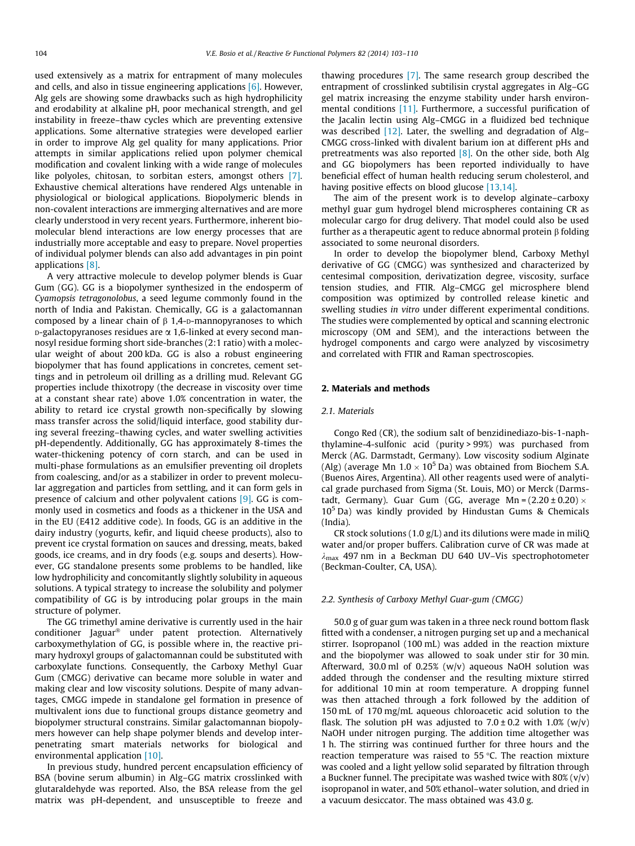used extensively as a matrix for entrapment of many molecules and cells, and also in tissue engineering applications [\[6\].](#page-7-0) However, Alg gels are showing some drawbacks such as high hydrophilicity and erodability at alkaline pH, poor mechanical strength, and gel instability in freeze–thaw cycles which are preventing extensive applications. Some alternative strategies were developed earlier in order to improve Alg gel quality for many applications. Prior attempts in similar applications relied upon polymer chemical modification and covalent linking with a wide range of molecules like polyoles, chitosan, to sorbitan esters, amongst others [\[7\].](#page-7-0) Exhaustive chemical alterations have rendered Algs untenable in physiological or biological applications. Biopolymeric blends in non-covalent interactions are immerging alternatives and are more clearly understood in very recent years. Furthermore, inherent biomolecular blend interactions are low energy processes that are industrially more acceptable and easy to prepare. Novel properties of individual polymer blends can also add advantages in pin point applications [\[8\].](#page-7-0)

A very attractive molecule to develop polymer blends is Guar Gum (GG). GG is a biopolymer synthesized in the endosperm of Cyamopsis tetragonolobus, a seed legume commonly found in the north of India and Pakistan. Chemically, GG is a galactomannan composed by a linear chain of  $\beta$  1,4-D-mannopyranoses to which  $p$ -galactopyranoses residues are  $\alpha$  1,6-linked at every second mannosyl residue forming short side-branches (2:1 ratio) with a molecular weight of about 200 kDa. GG is also a robust engineering biopolymer that has found applications in concretes, cement settings and in petroleum oil drilling as a drilling mud. Relevant GG properties include thixotropy (the decrease in viscosity over time at a constant shear rate) above 1.0% concentration in water, the ability to retard ice crystal growth non-specifically by slowing mass transfer across the solid/liquid interface, good stability during several freezing–thawing cycles, and water swelling activities pH-dependently. Additionally, GG has approximately 8-times the water-thickening potency of corn starch, and can be used in multi-phase formulations as an emulsifier preventing oil droplets from coalescing, and/or as a stabilizer in order to prevent molecular aggregation and particles from settling, and it can form gels in presence of calcium and other polyvalent cations [\[9\].](#page-7-0) GG is commonly used in cosmetics and foods as a thickener in the USA and in the EU (E412 additive code). In foods, GG is an additive in the dairy industry (yogurts, kefir, and liquid cheese products), also to prevent ice crystal formation on sauces and dressing, meats, baked goods, ice creams, and in dry foods (e.g. soups and deserts). However, GG standalone presents some problems to be handled, like low hydrophilicity and concomitantly slightly solubility in aqueous solutions. A typical strategy to increase the solubility and polymer compatibility of GG is by introducing polar groups in the main structure of polymer.

The GG trimethyl amine derivative is currently used in the hair conditioner Jaguar<sup>®</sup> under patent protection. Alternatively carboxymethylation of GG, is possible where in, the reactive primary hydroxyl groups of galactomannan could be substituted with carboxylate functions. Consequently, the Carboxy Methyl Guar Gum (CMGG) derivative can became more soluble in water and making clear and low viscosity solutions. Despite of many advantages, CMGG impede in standalone gel formation in presence of multivalent ions due to functional groups distance geometry and biopolymer structural constrains. Similar galactomannan biopolymers however can help shape polymer blends and develop interpenetrating smart materials networks for biological and environmental application [\[10\].](#page-7-0)

In previous study, hundred percent encapsulation efficiency of BSA (bovine serum albumin) in Alg–GG matrix crosslinked with glutaraldehyde was reported. Also, the BSA release from the gel matrix was pH-dependent, and unsusceptible to freeze and thawing procedures [\[7\].](#page-7-0) The same research group described the entrapment of crosslinked subtilisin crystal aggregates in Alg–GG gel matrix increasing the enzyme stability under harsh environmental conditions [\[11\]](#page-7-0). Furthermore, a successful purification of the Jacalin lectin using Alg–CMGG in a fluidized bed technique was described [\[12\].](#page-7-0) Later, the swelling and degradation of Alg-CMGG cross-linked with divalent barium ion at different pHs and pretreatments was also reported  $[8]$ . On the other side, both Alg and GG biopolymers has been reported individually to have beneficial effect of human health reducing serum cholesterol, and having positive effects on blood glucose [\[13,14\]](#page-7-0).

The aim of the present work is to develop alginate–carboxy methyl guar gum hydrogel blend microspheres containing CR as molecular cargo for drug delivery. That model could also be used further as a therapeutic agent to reduce abnormal protein  $\beta$  folding associated to some neuronal disorders.

In order to develop the biopolymer blend, Carboxy Methyl derivative of GG (CMGG) was synthesized and characterized by centesimal composition, derivatization degree, viscosity, surface tension studies, and FTIR. Alg–CMGG gel microsphere blend composition was optimized by controlled release kinetic and swelling studies in vitro under different experimental conditions. The studies were complemented by optical and scanning electronic microscopy (OM and SEM), and the interactions between the hydrogel components and cargo were analyzed by viscosimetry and correlated with FTIR and Raman spectroscopies.

# 2. Materials and methods

#### 2.1. Materials

Congo Red (CR), the sodium salt of benzidinediazo-bis-1-naphthylamine-4-sulfonic acid (purity > 99%) was purchased from Merck (AG. Darmstadt, Germany). Low viscosity sodium Alginate (Alg) (average Mn  $1.0 \times 10^5$  Da) was obtained from Biochem S.A. (Buenos Aires, Argentina). All other reagents used were of analytical grade purchased from Sigma (St. Louis, MO) or Merck (Darmstadt, Germany). Guar Gum (GG, average Mn =  $(2.20 \pm 0.20) \times$  $10<sup>5</sup>$  Da) was kindly provided by Hindustan Gums & Chemicals (India).

CR stock solutions (1.0  $g/L$ ) and its dilutions were made in miliQ water and/or proper buffers. Calibration curve of CR was made at  $\lambda_{\text{max}}$  497 nm in a Beckman DU 640 UV–Vis spectrophotometer (Beckman-Coulter, CA, USA).

## 2.2. Synthesis of Carboxy Methyl Guar-gum (CMGG)

50.0 g of guar gum was taken in a three neck round bottom flask fitted with a condenser, a nitrogen purging set up and a mechanical stirrer. Isopropanol (100 mL) was added in the reaction mixture and the biopolymer was allowed to soak under stir for 30 min. Afterward, 30.0 ml of 0.25% (w/v) aqueous NaOH solution was added through the condenser and the resulting mixture stirred for additional 10 min at room temperature. A dropping funnel was then attached through a fork followed by the addition of 150 mL of 170 mg/mL aqueous chloroacetic acid solution to the flask. The solution pH was adjusted to  $7.0 \pm 0.2$  with  $1.0\%$  (w/v) NaOH under nitrogen purging. The addition time altogether was 1 h. The stirring was continued further for three hours and the reaction temperature was raised to 55  $\degree$ C. The reaction mixture was cooled and a light yellow solid separated by filtration through a Buckner funnel. The precipitate was washed twice with  $80\%$  (v/v) isopropanol in water, and 50% ethanol–water solution, and dried in a vacuum desiccator. The mass obtained was 43.0 g.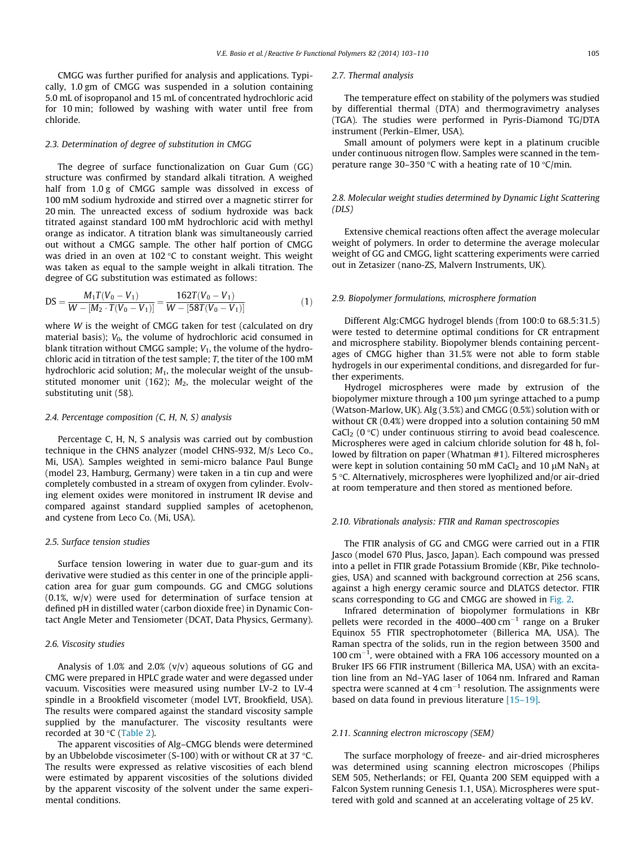CMGG was further purified for analysis and applications. Typically, 1.0 gm of CMGG was suspended in a solution containing 5.0 mL of isopropanol and 15 mL of concentrated hydrochloric acid for 10 min; followed by washing with water until free from chloride.

## 2.3. Determination of degree of substitution in CMGG

The degree of surface functionalization on Guar Gum (GG) structure was confirmed by standard alkali titration. A weighed half from 1.0 g of CMGG sample was dissolved in excess of 100 mM sodium hydroxide and stirred over a magnetic stirrer for 20 min. The unreacted excess of sodium hydroxide was back titrated against standard 100 mM hydrochloric acid with methyl orange as indicator. A titration blank was simultaneously carried out without a CMGG sample. The other half portion of CMGG was dried in an oven at  $102$  °C to constant weight. This weight was taken as equal to the sample weight in alkali titration. The degree of GG substitution was estimated as follows:

$$
DS = \frac{M_1 T(V_0 - V_1)}{W - [M_2 \cdot T(V_0 - V_1)]} = \frac{162T(V_0 - V_1)}{W - [58T(V_0 - V_1)]}
$$
(1)

where W is the weight of CMGG taken for test (calculated on dry material basis);  $V_0$ , the volume of hydrochloric acid consumed in blank titration without CMGG sample;  $V_1$ , the volume of the hydrochloric acid in titration of the test sample; T, the titer of the 100 mM hydrochloric acid solution;  $M_1$ , the molecular weight of the unsubstituted monomer unit (162);  $M_2$ , the molecular weight of the substituting unit (58).

# 2.4. Percentage composition (C, H, N, S) analysis

Percentage C, H, N, S analysis was carried out by combustion technique in the CHNS analyzer (model CHNS-932, M/s Leco Co., Mi, USA). Samples weighted in semi-micro balance Paul Bunge (model 23, Hamburg, Germany) were taken in a tin cup and were completely combusted in a stream of oxygen from cylinder. Evolving element oxides were monitored in instrument IR devise and compared against standard supplied samples of acetophenon, and cystene from Leco Co. (Mi, USA).

### 2.5. Surface tension studies

Surface tension lowering in water due to guar-gum and its derivative were studied as this center in one of the principle application area for guar gum compounds. GG and CMGG solutions (0.1%, w/v) were used for determination of surface tension at defined pH in distilled water (carbon dioxide free) in Dynamic Contact Angle Meter and Tensiometer (DCAT, Data Physics, Germany).

## 2.6. Viscosity studies

Analysis of  $1.0\%$  and  $2.0\%$  (v/v) aqueous solutions of GG and CMG were prepared in HPLC grade water and were degassed under vacuum. Viscosities were measured using number LV-2 to LV-4 spindle in a Brookfield viscometer (model LVT, Brookfield, USA). The results were compared against the standard viscosity sample supplied by the manufacturer. The viscosity resultants were recorded at 30 °C ([Table 2\)](#page-3-0).

The apparent viscosities of Alg–CMGG blends were determined by an Ubbelobde viscosimeter (S-100) with or without CR at 37  $\degree$ C. The results were expressed as relative viscosities of each blend were estimated by apparent viscosities of the solutions divided by the apparent viscosity of the solvent under the same experimental conditions.

#### 2.7. Thermal analysis

The temperature effect on stability of the polymers was studied by differential thermal (DTA) and thermogravimetry analyses (TGA). The studies were performed in Pyris-Diamond TG/DTA instrument (Perkin–Elmer, USA).

Small amount of polymers were kept in a platinum crucible under continuous nitrogen flow. Samples were scanned in the temperature range 30–350 °C with a heating rate of 10 °C/min.

# 2.8. Molecular weight studies determined by Dynamic Light Scattering (DLS)

Extensive chemical reactions often affect the average molecular weight of polymers. In order to determine the average molecular weight of GG and CMGG, light scattering experiments were carried out in Zetasizer (nano-ZS, Malvern Instruments, UK).

# 2.9. Biopolymer formulations, microsphere formation

Different Alg:CMGG hydrogel blends (from 100:0 to 68.5:31.5) were tested to determine optimal conditions for CR entrapment and microsphere stability. Biopolymer blends containing percentages of CMGG higher than 31.5% were not able to form stable hydrogels in our experimental conditions, and disregarded for further experiments.

Hydrogel microspheres were made by extrusion of the biopolymer mixture through a  $100 \mu m$  syringe attached to a pump (Watson-Marlow, UK). Alg (3.5%) and CMGG (0.5%) solution with or without CR (0.4%) were dropped into a solution containing 50 mM CaCl<sub>2</sub> ( $0 °C$ ) under continuous stirring to avoid bead coalescence. Microspheres were aged in calcium chloride solution for 48 h, followed by filtration on paper (Whatman #1). Filtered microspheres were kept in solution containing 50 mM CaCl<sub>2</sub> and 10  $\mu$ M NaN<sub>3</sub> at 5 °C. Alternatively, microspheres were lyophilized and/or air-dried at room temperature and then stored as mentioned before.

## 2.10. Vibrationals analysis: FTIR and Raman spectroscopies

The FTIR analysis of GG and CMGG were carried out in a FTIR Jasco (model 670 Plus, Jasco, Japan). Each compound was pressed into a pellet in FTIR grade Potassium Bromide (KBr, Pike technologies, USA) and scanned with background correction at 256 scans, against a high energy ceramic source and DLATGS detector. FTIR scans corresponding to GG and CMGG are showed in [Fig. 2](#page-4-0).

Infrared determination of biopolymer formulations in KBr pellets were recorded in the  $4000-400$  cm<sup>-1</sup> range on a Bruker Equinox 55 FTIR spectrophotometer (Billerica MA, USA). The Raman spectra of the solids, run in the region between 3500 and  $100 \text{ cm}^{-1}$ , were obtained with a FRA 106 accessory mounted on a Bruker IFS 66 FTIR instrument (Billerica MA, USA) with an excitation line from an Nd–YAG laser of 1064 nm. Infrared and Raman spectra were scanned at 4  $cm^{-1}$  resolution. The assignments were based on data found in previous literature [\[15–19\].](#page-7-0)

### 2.11. Scanning electron microscopy (SEM)

The surface morphology of freeze- and air-dried microspheres was determined using scanning electron microscopes (Philips SEM 505, Netherlands; or FEI, Quanta 200 SEM equipped with a Falcon System running Genesis 1.1, USA). Microspheres were sputtered with gold and scanned at an accelerating voltage of 25 kV.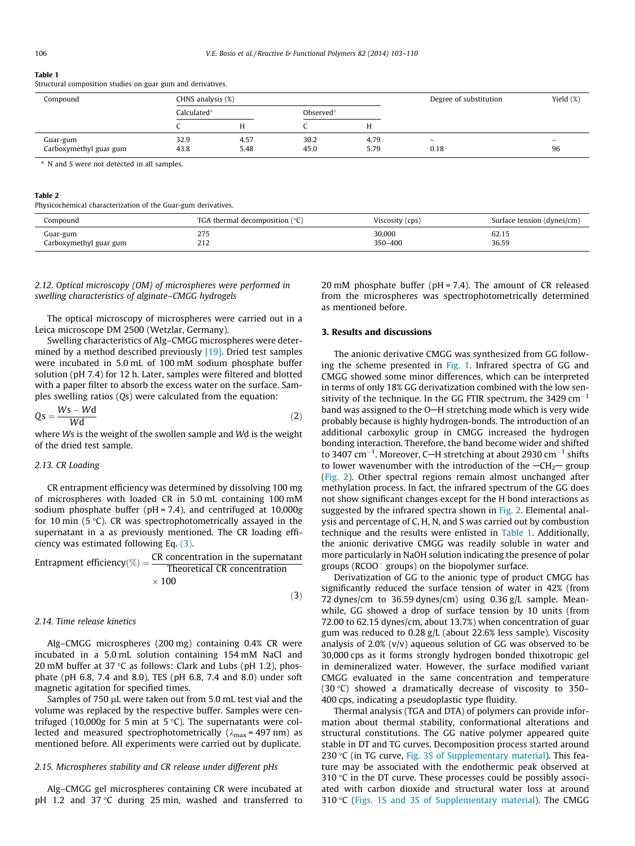#### <span id="page-3-0"></span>Table 1

Structural composition studies on guar gum and derivatives.

| Compound               | CHNS analysis (%)       |      |                       |      | Degree of substitution   | Yield $(\%)$             |
|------------------------|-------------------------|------|-----------------------|------|--------------------------|--------------------------|
|                        | Calculated <sup>a</sup> |      | Observed <sup>a</sup> |      |                          |                          |
|                        |                         |      |                       |      |                          |                          |
| Guar-gum               | 32.9                    | 4.57 | 30.2                  | 4.79 | $\overline{\phantom{0}}$ | $\overline{\phantom{0}}$ |
| Carboxymethyl guar gum | 43.8                    | 5.48 | 45.0                  | 5.79 | 0.18                     | 96                       |

#### Table 2

Physicochemical characterization of the Guar-gum derivatives.

| Compound                           | TGA thermal decomposition $(°C)$      | Viscosity (cps)   | Surface tension (dynes/cm) |
|------------------------------------|---------------------------------------|-------------------|----------------------------|
| Guar-gum<br>Carboxymethyl guar gum | ורר<br>ر رے<br>21 <sup>o</sup><br>414 | 30,000<br>350-400 | 62.15<br>36.59             |

 $(3)$ 

# 2.12. Optical microscopy (OM) of microspheres were performed in swelling characteristics of alginate–CMGG hydrogels

The optical microscopy of microspheres were carried out in a Leica microscope DM 2500 (Wetzlar, Germany).

Swelling characteristics of Alg–CMGG microspheres were deter-mined by a method described previously [\[19\].](#page-7-0) Dried test samples were incubated in 5.0 mL of 100 mM sodium phosphate buffer solution (pH 7.4) for 12 h. Later, samples were filtered and blotted with a paper filter to absorb the excess water on the surface. Samples swelling ratios (Qs) were calculated from the equation:

$$
Qs = \frac{Ws - Wd}{Wd} \tag{2}
$$

where Ws is the weight of the swollen sample and Wd is the weight of the dried test sample.

# 2.13. CR Loading

CR entrapment efficiency was determined by dissolving 100 mg of microspheres with loaded CR in 5.0 mL containing 100 mM sodium phosphate buffer ( $pH = 7.4$ ), and centrifuged at 10,000g for 10 min (5 $\degree$ C). CR was spectrophotometrically assayed in the supernatant in a as previously mentioned. The CR loading efficiency was estimated following Eq. (3).

Entrapment efficiency(%) =  $\frac{CR\; concentration\; in\; the\; supernatant}{CR\; concentration\; CO\; concentration}$ Theoretical CR concentration  $\times$  100

#### 2.14. Time release kinetics

Alg–CMGG microspheres (200 mg) containing 0.4% CR were incubated in a 5.0 mL solution containing 154 mM NaCl and 20 mM buffer at 37  $\degree$ C as follows: Clark and Lubs (pH 1.2), phosphate (pH 6.8, 7.4 and 8.0), TES (pH 6.8, 7.4 and 8.0) under soft magnetic agitation for specified times.

Samples of 750 µL were taken out from 5.0 mL test vial and the volume was replaced by the respective buffer. Samples were centrifuged (10,000g for 5 min at 5  $\degree$ C). The supernatants were collected and measured spectrophotometrically ( $\lambda_{\text{max}}$  = 497 nm) as mentioned before. All experiments were carried out by duplicate.

# 2.15. Microspheres stability and CR release under different pHs

Alg–CMGG gel microspheres containing CR were incubated at pH 1.2 and 37 °C during 25 min, washed and transferred to

20 mM phosphate buffer (pH = 7.4). The amount of CR released from the microspheres was spectrophotometrically determined as mentioned before.

# 3. Results and discussions

The anionic derivative CMGG was synthesized from GG following the scheme presented in [Fig. 1.](#page-4-0) Infrared spectra of GG and CMGG showed some minor differences, which can be interpreted in terms of only 18% GG derivatization combined with the low sensitivity of the technique. In the GG FTIR spectrum, the 3429  $cm^{-1}$ band was assigned to the O-H stretching mode which is very wide probably because is highly hydrogen-bonds. The introduction of an additional carboxylic group in CMGG increased the hydrogen bonding interaction. Therefore, the band become wider and shifted to 3407 cm $^{-1}$ . Moreover, C-H stretching at about 2930 cm $^{-1}$  shifts to lower wavenumber with the introduction of the  $-CH<sub>2</sub>$  group ([Fig. 2\)](#page-4-0). Other spectral regions remain almost unchanged after methylation process. In fact, the infrared spectrum of the GG does not show significant changes except for the H bond interactions as suggested by the infrared spectra shown in [Fig. 2.](#page-4-0) Elemental analysis and percentage of C, H, N, and S was carried out by combustion technique and the results were enlisted in Table 1. Additionally, the anionic derivative CMGG was readily soluble in water and more particularly in NaOH solution indicating the presence of polar groups (RCOO groups) on the biopolymer surface.

Derivatization of GG to the anionic type of product CMGG has significantly reduced the surface tension of water in 42% (from 72 dynes/cm to 36.59 dynes/cm) using 0.36 g/L sample. Meanwhile, GG showed a drop of surface tension by 10 units (from 72.00 to 62.15 dynes/cm, about 13.7%) when concentration of guar gum was reduced to 0.28 g/L (about 22.6% less sample). Viscosity analysis of  $2.0\%$  (v/v) aqueous solution of GG was observed to be 30,000 cps as it forms strongly hydrogen bonded thixotropic gel in demineralized water. However, the surface modified variant CMGG evaluated in the same concentration and temperature (30 $\degree$ C) showed a dramatically decrease of viscosity to 350-400 cps, indicating a pseudoplastic type fluidity.

Thermal analysis (TGA and DTA) of polymers can provide information about thermal stability, conformational alterations and structural constitutions. The GG native polymer appeared quite stable in DT and TG curves. Decomposition process started around 230 °C (in TG curve, Fig. 3S of Supplementary material). This feature may be associated with the endothermic peak observed at  $310$  °C in the DT curve. These processes could be possibly associated with carbon dioxide and structural water loss at around 310 °C (Figs. 1S and 3S of Supplementary material). The CMGG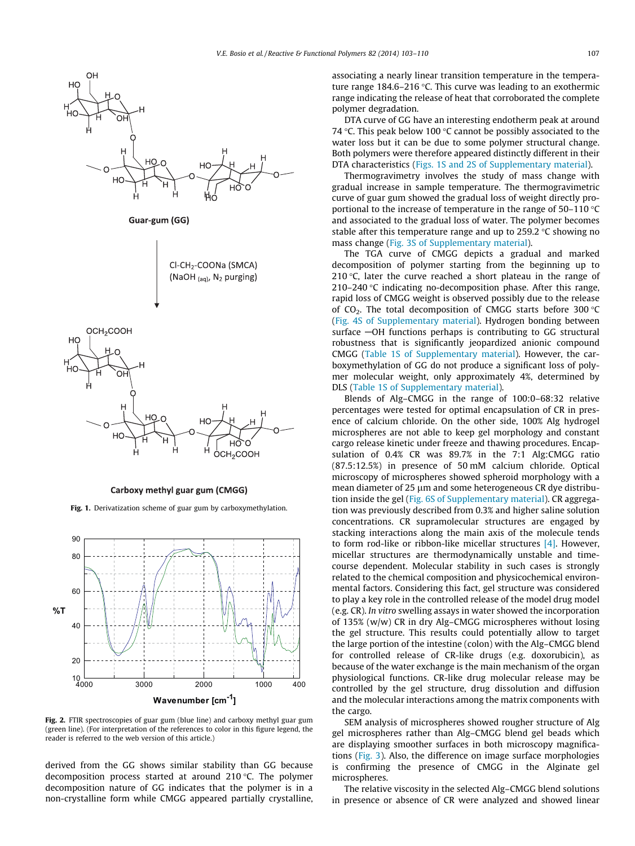<span id="page-4-0"></span>

Carboxy methyl guar gum (CMGG)

Fig. 1. Derivatization scheme of guar gum by carboxymethylation.



Fig. 2. FTIR spectroscopies of guar gum (blue line) and carboxy methyl guar gum (green line). (For interpretation of the references to color in this figure legend, the reader is referred to the web version of this article.)

derived from the GG shows similar stability than GG because decomposition process started at around 210 °C. The polymer decomposition nature of GG indicates that the polymer is in a non-crystalline form while CMGG appeared partially crystalline, associating a nearly linear transition temperature in the temperature range  $184.6 - 216$  °C. This curve was leading to an exothermic range indicating the release of heat that corroborated the complete polymer degradation.

DTA curve of GG have an interesting endotherm peak at around 74 °C. This peak below 100 °C cannot be possibly associated to the water loss but it can be due to some polymer structural change. Both polymers were therefore appeared distinctly different in their DTA characteristics (Figs. 1S and 2S of Supplementary material).

Thermogravimetry involves the study of mass change with gradual increase in sample temperature. The thermogravimetric curve of guar gum showed the gradual loss of weight directly proportional to the increase of temperature in the range of  $50-110$  °C and associated to the gradual loss of water. The polymer becomes stable after this temperature range and up to 259.2  $\degree$ C showing no mass change (Fig. 3S of Supplementary material).

The TGA curve of CMGG depicts a gradual and marked decomposition of polymer starting from the beginning up to 210 $\degree$ C, later the curve reached a short plateau in the range of 210-240 °C indicating no-decomposition phase. After this range, rapid loss of CMGG weight is observed possibly due to the release of  $CO<sub>2</sub>$ . The total decomposition of CMGG starts before 300 °C (Fig. 4S of Supplementary material). Hydrogen bonding between surface  $-\text{OH}$  functions perhaps is contributing to GG structural robustness that is significantly jeopardized anionic compound CMGG (Table 1S of Supplementary material). However, the carboxymethylation of GG do not produce a significant loss of polymer molecular weight, only approximately 4%, determined by DLS (Table 1S of Supplementary material).

Blends of Alg–CMGG in the range of 100:0–68:32 relative percentages were tested for optimal encapsulation of CR in presence of calcium chloride. On the other side, 100% Alg hydrogel microspheres are not able to keep gel morphology and constant cargo release kinetic under freeze and thawing procedures. Encapsulation of 0.4% CR was 89.7% in the 7:1 Alg:CMGG ratio (87.5:12.5%) in presence of 50 mM calcium chloride. Optical microscopy of microspheres showed spheroid morphology with a mean diameter of 25  $\mu$ m and some heterogeneous CR dye distribution inside the gel (Fig. 6S of Supplementary material). CR aggregation was previously described from 0.3% and higher saline solution concentrations. CR supramolecular structures are engaged by stacking interactions along the main axis of the molecule tends to form rod-like or ribbon-like micellar structures [\[4\]](#page-7-0). However, micellar structures are thermodynamically unstable and timecourse dependent. Molecular stability in such cases is strongly related to the chemical composition and physicochemical environmental factors. Considering this fact, gel structure was considered to play a key role in the controlled release of the model drug model (e.g. CR). In vitro swelling assays in water showed the incorporation of 135% (w/w) CR in dry Alg–CMGG microspheres without losing the gel structure. This results could potentially allow to target the large portion of the intestine (colon) with the Alg–CMGG blend for controlled release of CR-like drugs (e.g. doxorubicin), as because of the water exchange is the main mechanism of the organ physiological functions. CR-like drug molecular release may be controlled by the gel structure, drug dissolution and diffusion and the molecular interactions among the matrix components with the cargo.

SEM analysis of microspheres showed rougher structure of Alg gel microspheres rather than Alg–CMGG blend gel beads which are displaying smoother surfaces in both microscopy magnifications [\(Fig. 3](#page-5-0)). Also, the difference on image surface morphologies is confirming the presence of CMGG in the Alginate gel microspheres.

The relative viscosity in the selected Alg–CMGG blend solutions in presence or absence of CR were analyzed and showed linear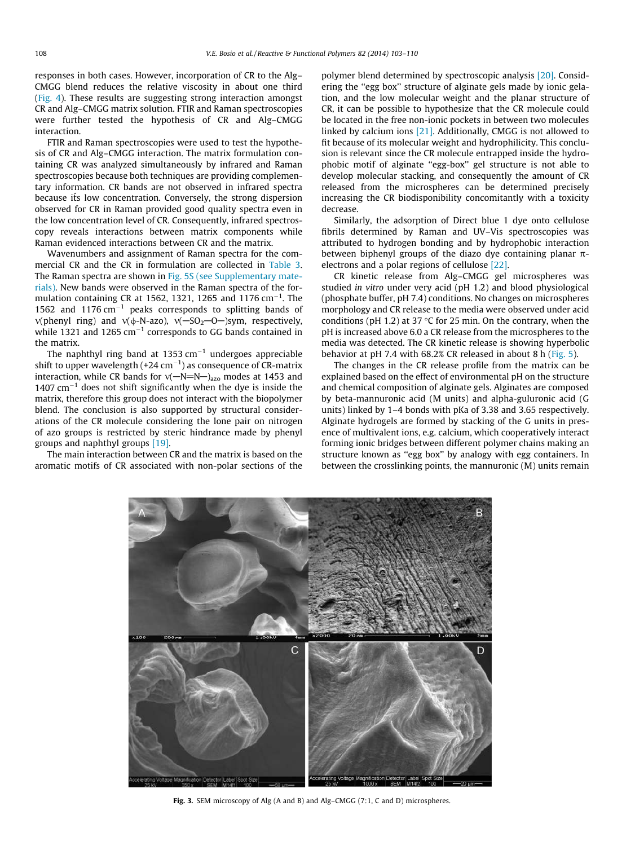<span id="page-5-0"></span>responses in both cases. However, incorporation of CR to the Alg– CMGG blend reduces the relative viscosity in about one third ([Fig. 4](#page-6-0)). These results are suggesting strong interaction amongst CR and Alg–CMGG matrix solution. FTIR and Raman spectroscopies were further tested the hypothesis of CR and Alg–CMGG interaction.

FTIR and Raman spectroscopies were used to test the hypothesis of CR and Alg–CMGG interaction. The matrix formulation containing CR was analyzed simultaneously by infrared and Raman spectroscopies because both techniques are providing complementary information. CR bands are not observed in infrared spectra because its low concentration. Conversely, the strong dispersion observed for CR in Raman provided good quality spectra even in the low concentration level of CR. Consequently, infrared spectroscopy reveals interactions between matrix components while Raman evidenced interactions between CR and the matrix.

Wavenumbers and assignment of Raman spectra for the commercial CR and the CR in formulation are collected in [Table 3.](#page-6-0) The Raman spectra are shown in Fig. 5S (see Supplementary materials). New bands were observed in the Raman spectra of the formulation containing CR at 1562, 1321, 1265 and 1176  $\text{cm}^{-1}$ . The 1562 and 1176  $cm^{-1}$  peaks corresponds to splitting bands of  $v($ phenyl ring) and  $v($  $\phi$ -N-azo),  $v($ -SO<sub>2</sub>-O-)sym, respectively, while 1321 and 1265  $\text{cm}^{-1}$  corresponds to GG bands contained in the matrix.

The naphthyl ring band at 1353 cm $^{-1}$  undergoes appreciable shift to upper wavelength (+24 cm $^{-1}$ ) as consequence of CR-matrix interaction, while CR bands for  $v(-N=N-)_{\text{azo}}$  modes at 1453 and  $1407$  cm<sup>-1</sup> does not shift significantly when the dye is inside the matrix, therefore this group does not interact with the biopolymer blend. The conclusion is also supported by structural considerations of the CR molecule considering the lone pair on nitrogen of azo groups is restricted by steric hindrance made by phenyl groups and naphthyl groups [\[19\]](#page-7-0).

The main interaction between CR and the matrix is based on the aromatic motifs of CR associated with non-polar sections of the polymer blend determined by spectroscopic analysis [\[20\]](#page-7-0). Considering the ''egg box'' structure of alginate gels made by ionic gelation, and the low molecular weight and the planar structure of CR, it can be possible to hypothesize that the CR molecule could be located in the free non-ionic pockets in between two molecules linked by calcium ions [\[21\].](#page-7-0) Additionally, CMGG is not allowed to fit because of its molecular weight and hydrophilicity. This conclusion is relevant since the CR molecule entrapped inside the hydrophobic motif of alginate ''egg-box'' gel structure is not able to develop molecular stacking, and consequently the amount of CR released from the microspheres can be determined precisely increasing the CR biodisponibility concomitantly with a toxicity decrease.

Similarly, the adsorption of Direct blue 1 dye onto cellulose fibrils determined by Raman and UV–Vis spectroscopies was attributed to hydrogen bonding and by hydrophobic interaction between biphenyl groups of the diazo dye containing planar  $\pi$ electrons and a polar regions of cellulose [\[22\].](#page-7-0)

CR kinetic release from Alg–CMGG gel microspheres was studied in vitro under very acid (pH 1.2) and blood physiological (phosphate buffer, pH 7.4) conditions. No changes on microspheres morphology and CR release to the media were observed under acid conditions (pH 1.2) at 37  $\degree$ C for 25 min. On the contrary, when the pH is increased above 6.0 a CR release from the microspheres to the media was detected. The CR kinetic release is showing hyperbolic behavior at pH 7.4 with 68.2% CR released in about 8 h ([Fig. 5\)](#page-6-0).

The changes in the CR release profile from the matrix can be explained based on the effect of environmental pH on the structure and chemical composition of alginate gels. Alginates are composed by beta-mannuronic acid (M units) and alpha-guluronic acid (G units) linked by 1–4 bonds with pKa of 3.38 and 3.65 respectively. Alginate hydrogels are formed by stacking of the G units in presence of multivalent ions, e.g. calcium, which cooperatively interact forming ionic bridges between different polymer chains making an structure known as ''egg box'' by analogy with egg containers. In between the crosslinking points, the mannuronic (M) units remain



Fig. 3. SEM microscopy of Alg (A and B) and Alg–CMGG (7:1, C and D) microspheres.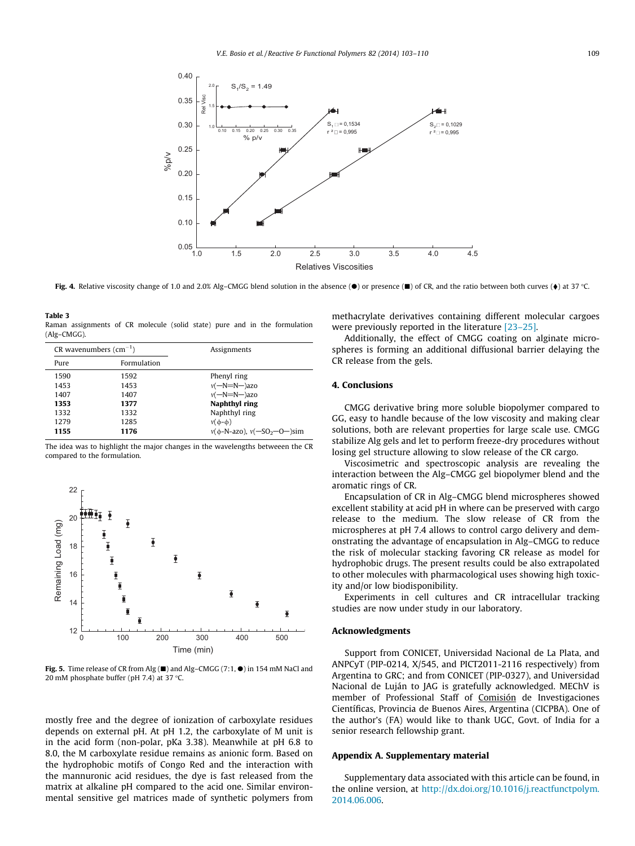<span id="page-6-0"></span>

Fig. 4. Relative viscosity change of 1.0 and 2.0% Alg–CMGG blend solution in the absence ( $\bullet$ ) or presence ( $\blacksquare$ ) of CR, and the ratio between both curves ( $\bullet$ ) at 37 °C.

Table 3 Raman assignments of CR molecule (solid state) pure and in the formulation (Alg–CMGG).

| CR wavenumbers $\text{(cm}^{-1})$ |             | Assignments                              |
|-----------------------------------|-------------|------------------------------------------|
| Pure                              | Formulation |                                          |
| 1590                              | 1592        | Phenyl ring                              |
| 1453                              | 1453        | $v(-N=N-)$ azo                           |
| 1407                              | 1407        | $v(-N=N-)$ azo                           |
| 1353                              | 1377        | Naphthyl ring                            |
| 1332                              | 1332        | Naphthyl ring                            |
| 1279                              | 1285        | $v(\phi-\phi)$                           |
| 1155                              | 1176        | $v(\phi - N - az_0), v(-SO_2 - O - )sim$ |

The idea was to highlight the major changes in the wavelengths betweeen the CR compared to the formulation.



Fig. 5. Time release of CR from Alg  $(\blacksquare)$  and Alg–CMGG (7:1,  $\spadesuit$ ) in 154 mM NaCl and 20 mM phosphate buffer (pH 7.4) at 37  $\degree$ C.

mostly free and the degree of ionization of carboxylate residues depends on external pH. At pH 1.2, the carboxylate of M unit is in the acid form (non-polar, pKa 3.38). Meanwhile at pH 6.8 to 8.0, the M carboxylate residue remains as anionic form. Based on the hydrophobic motifs of Congo Red and the interaction with the mannuronic acid residues, the dye is fast released from the matrix at alkaline pH compared to the acid one. Similar environmental sensitive gel matrices made of synthetic polymers from methacrylate derivatives containing different molecular cargoes were previously reported in the literature [\[23–25\]](#page-7-0).

Additionally, the effect of CMGG coating on alginate microspheres is forming an additional diffusional barrier delaying the CR release from the gels.

# 4. Conclusions

CMGG derivative bring more soluble biopolymer compared to GG, easy to handle because of the low viscosity and making clear solutions, both are relevant properties for large scale use. CMGG stabilize Alg gels and let to perform freeze-dry procedures without losing gel structure allowing to slow release of the CR cargo.

Viscosimetric and spectroscopic analysis are revealing the interaction between the Alg–CMGG gel biopolymer blend and the aromatic rings of CR.

Encapsulation of CR in Alg–CMGG blend microspheres showed excellent stability at acid pH in where can be preserved with cargo release to the medium. The slow release of CR from the microspheres at pH 7.4 allows to control cargo delivery and demonstrating the advantage of encapsulation in Alg–CMGG to reduce the risk of molecular stacking favoring CR release as model for hydrophobic drugs. The present results could be also extrapolated to other molecules with pharmacological uses showing high toxicity and/or low biodisponibility.

Experiments in cell cultures and CR intracellular tracking studies are now under study in our laboratory.

# Acknowledgments

Support from CONICET, Universidad Nacional de La Plata, and ANPCyT (PIP-0214, X/545, and PICT2011-2116 respectively) from Argentina to GRC; and from CONICET (PIP-0327), and Universidad Nacional de Luján to JAG is gratefully acknowledged. MEChV is member of Professional Staff of Comisión de Investigaciones Científicas, Provincia de Buenos Aires, Argentina (CICPBA). One of the author's (FA) would like to thank UGC, Govt. of India for a senior research fellowship grant.

## Appendix A. Supplementary material

Supplementary data associated with this article can be found, in the online version, at [http://dx.doi.org/10.1016/j.reactfunctpolym.](http://dx.doi.org/10.1016/j.reactfunctpolym.2014.06.006) [2014.06.006.](http://dx.doi.org/10.1016/j.reactfunctpolym.2014.06.006)